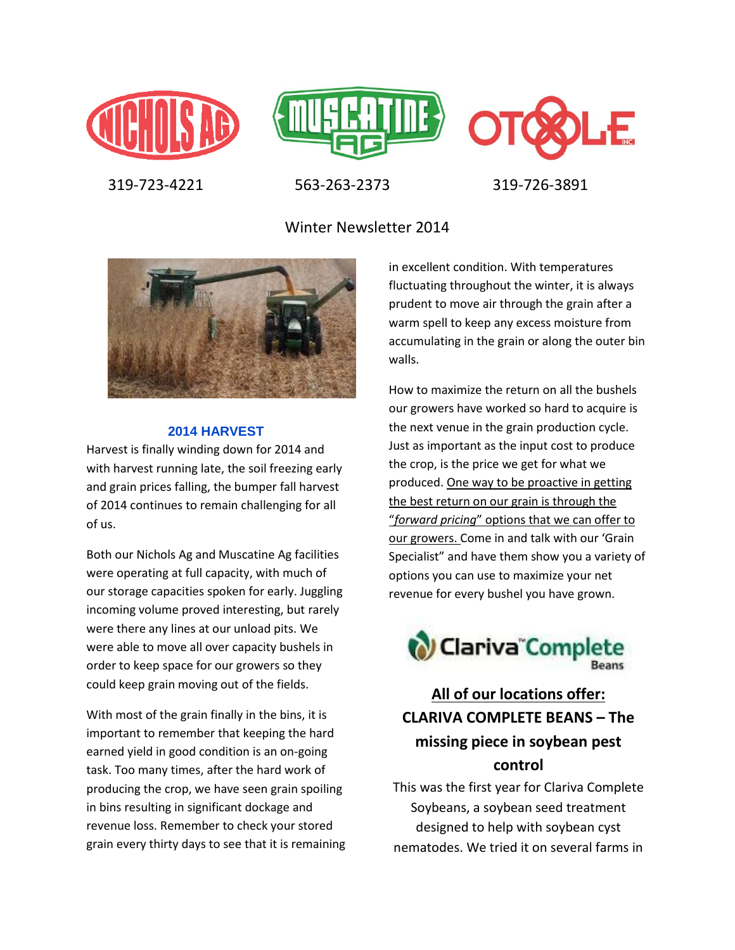





319-723-4221 563-263-2373 319-726-3891

Winter Newsletter 2014



#### **2014 HARVEST**

Harvest is finally winding down for 2014 and with harvest running late, the soil freezing early and grain prices falling, the bumper fall harvest of 2014 continues to remain challenging for all of us.

Both our Nichols Ag and Muscatine Ag facilities were operating at full capacity, with much of our storage capacities spoken for early. Juggling incoming volume proved interesting, but rarely were there any lines at our unload pits. We were able to move all over capacity bushels in order to keep space for our growers so they could keep grain moving out of the fields.

With most of the grain finally in the bins, it is important to remember that keeping the hard earned yield in good condition is an on-going task. Too many times, after the hard work of producing the crop, we have seen grain spoiling in bins resulting in significant dockage and revenue loss. Remember to check your stored grain every thirty days to see that it is remaining in excellent condition. With temperatures fluctuating throughout the winter, it is always prudent to move air through the grain after a warm spell to keep any excess moisture from accumulating in the grain or along the outer bin walls.

How to maximize the return on all the bushels our growers have worked so hard to acquire is the next venue in the grain production cycle. Just as important as the input cost to produce the crop, is the price we get for what we produced. One way to be proactive in getting the best return on our grain is through the "*forward pricing*" options that we can offer to our growers. Come in and talk with our 'Grain Specialist" and have them show you a variety of options you can use to maximize your net revenue for every bushel you have grown.



# **All of our locations offer: CLARIVA COMPLETE BEANS – The missing piece in soybean pest control**

This was the first year for Clariva Complete Soybeans, a soybean seed treatment designed to help with soybean cyst nematodes. We tried it on several farms in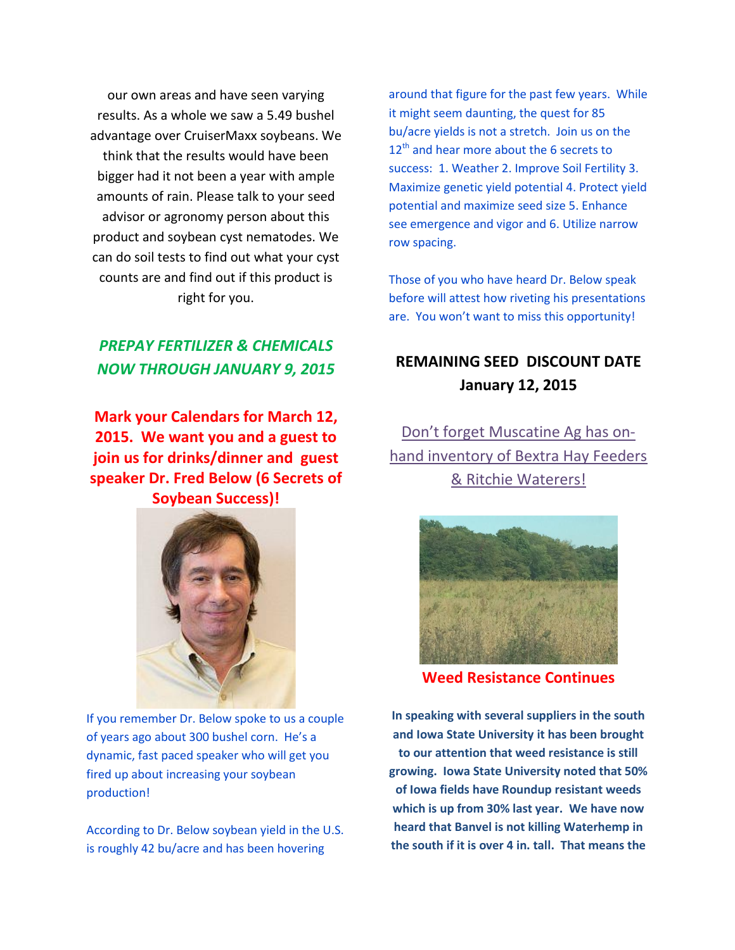our own areas and have seen varying results. As a whole we saw a 5.49 bushel advantage over CruiserMaxx soybeans. We think that the results would have been bigger had it not been a year with ample amounts of rain. Please talk to your seed advisor or agronomy person about this product and soybean cyst nematodes. We can do soil tests to find out what your cyst counts are and find out if this product is right for you.

### *PREPAY FERTILIZER & CHEMICALS NOW THROUGH JANUARY 9, 2015*

**Mark your Calendars for March 12, 2015. We want you and a guest to join us for drinks/dinner and guest speaker Dr. Fred Below (6 Secrets of Soybean Success)!**



If you remember Dr. Below spoke to us a couple of years ago about 300 bushel corn. He's a dynamic, fast paced speaker who will get you fired up about increasing your soybean production!

According to Dr. Below soybean yield in the U.S. is roughly 42 bu/acre and has been hovering

around that figure for the past few years. While it might seem daunting, the quest for 85 bu/acre yields is not a stretch. Join us on the  $12<sup>th</sup>$  and hear more about the 6 secrets to success: 1. Weather 2. Improve Soil Fertility 3. Maximize genetic yield potential 4. Protect yield potential and maximize seed size 5. Enhance see emergence and vigor and 6. Utilize narrow row spacing.

Those of you who have heard Dr. Below speak before will attest how riveting his presentations are. You won't want to miss this opportunity!

### **REMAINING SEED DISCOUNT DATE January 12, 2015**

Don't forget Muscatine Ag has onhand inventory of Bextra Hay Feeders & Ritchie Waterers!



**Weed Resistance Continues**

**In speaking with several suppliers in the south and Iowa State University it has been brought to our attention that weed resistance is still growing. Iowa State University noted that 50% of Iowa fields have Roundup resistant weeds which is up from 30% last year. We have now heard that Banvel is not killing Waterhemp in the south if it is over 4 in. tall. That means the**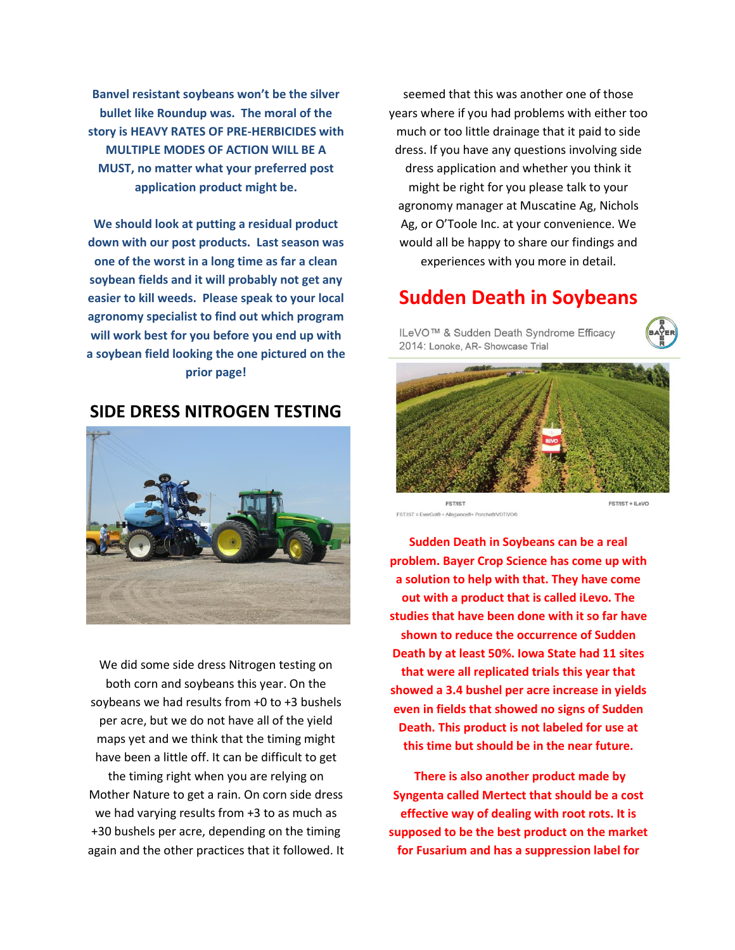**Banvel resistant soybeans won't be the silver bullet like Roundup was. The moral of the story is HEAVY RATES OF PRE-HERBICIDES with MULTIPLE MODES OF ACTION WILL BE A MUST, no matter what your preferred post application product might be.**

**We should look at putting a residual product down with our post products. Last season was one of the worst in a long time as far a clean soybean fields and it will probably not get any easier to kill weeds. Please speak to your local agronomy specialist to find out which program will work best for you before you end up with a soybean field looking the one pictured on the prior page!**

#### **SIDE DRESS NITROGEN TESTING**



We did some side dress Nitrogen testing on both corn and soybeans this year. On the soybeans we had results from +0 to +3 bushels per acre, but we do not have all of the yield maps yet and we think that the timing might have been a little off. It can be difficult to get the timing right when you are relying on Mother Nature to get a rain. On corn side dress we had varying results from +3 to as much as +30 bushels per acre, depending on the timing again and the other practices that it followed. It

seemed that this was another one of those years where if you had problems with either too much or too little drainage that it paid to side dress. If you have any questions involving side dress application and whether you think it might be right for you please talk to your agronomy manager at Muscatine Ag, Nichols Ag, or O'Toole Inc. at your convenience. We would all be happy to share our findings and experiences with you more in detail.

## **Sudden Death in Soybeans**

ILeVO™ & Sudden Death Syndrome Efficacy 2014: Lonoke, AR- Showcase Trial





**EST/IST** FST/IST = EverGol® + Allegiance®+ Poncho®/VOT/VO®

**Sudden Death in Soybeans can be a real problem. Bayer Crop Science has come up with a solution to help with that. They have come out with a product that is called iLevo. The studies that have been done with it so far have shown to reduce the occurrence of Sudden Death by at least 50%. Iowa State had 11 sites that were all replicated trials this year that showed a 3.4 bushel per acre increase in yields even in fields that showed no signs of Sudden Death. This product is not labeled for use at this time but should be in the near future.**

**There is also another product made by Syngenta called Mertect that should be a cost effective way of dealing with root rots. It is supposed to be the best product on the market for Fusarium and has a suppression label for**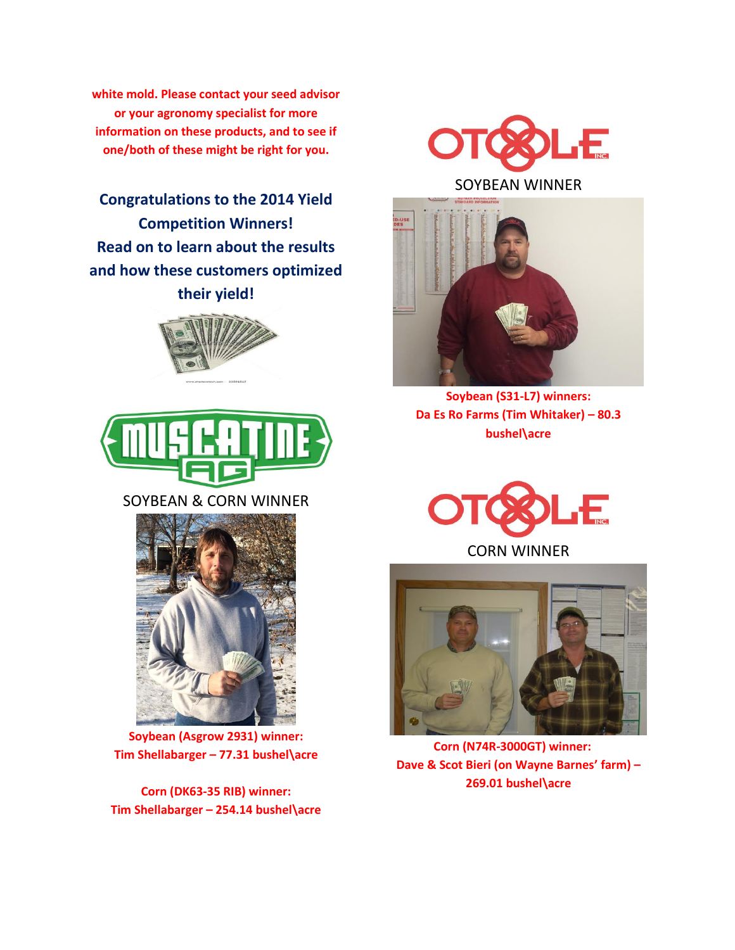**white mold. Please contact your seed advisor or your agronomy specialist for more information on these products, and to see if one/both of these might be right for you.**

**Congratulations to the 2014 Yield Competition Winners! Read on to learn about the results and how these customers optimized their yield!**





#### SOYBEAN & CORN WINNER



**Soybean (Asgrow 2931) winner: Tim Shellabarger – 77.31 bushel\acre**

**Corn (DK63-35 RIB) winner: Tim Shellabarger – 254.14 bushel\acre**



#### SOYBEAN WINNER



**Soybean (S31-L7) winners: Da Es Ro Farms (Tim Whitaker) – 80.3 bushel\acre**



CORN WINNER



 **Corn (N74R-3000GT) winner: Dave & Scot Bieri (on Wayne Barnes' farm) – 269.01 bushel\acre**